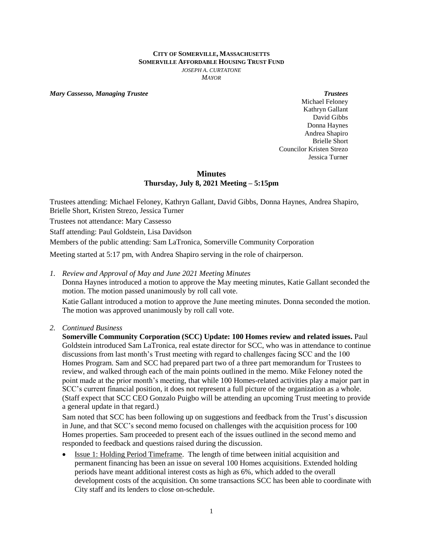#### **CITY OF SOMERVILLE, MASSACHUSETTS SOMERVILLE AFFORDABLE HOUSING TRUST FUND** *JOSEPH A. CURTATONE MAYOR*

*Mary Cassesso, Managing Trustee Trustees*

Michael Feloney Kathryn Gallant David Gibbs Donna Haynes Andrea Shapiro Brielle Short Councilor Kristen Strezo Jessica Turner

### **Minutes Thursday, July 8, 2021 Meeting – 5:15pm**

Trustees attending: Michael Feloney, Kathryn Gallant, David Gibbs, Donna Haynes, Andrea Shapiro, Brielle Short, Kristen Strezo, Jessica Turner

Trustees not attendance: Mary Cassesso

Staff attending: Paul Goldstein, Lisa Davidson

Members of the public attending: Sam LaTronica, Somerville Community Corporation

Meeting started at 5:17 pm, with Andrea Shapiro serving in the role of chairperson.

*1. Review and Approval of May and June 2021 Meeting Minutes*

Donna Haynes introduced a motion to approve the May meeting minutes, Katie Gallant seconded the motion. The motion passed unanimously by roll call vote.

Katie Gallant introduced a motion to approve the June meeting minutes. Donna seconded the motion. The motion was approved unanimously by roll call vote.

*2. Continued Business*

**Somerville Community Corporation (SCC) Update: 100 Homes review and related issues.** Paul Goldstein introduced Sam LaTronica, real estate director for SCC, who was in attendance to continue discussions from last month's Trust meeting with regard to challenges facing SCC and the 100 Homes Program. Sam and SCC had prepared part two of a three part memorandum for Trustees to review, and walked through each of the main points outlined in the memo. Mike Feloney noted the point made at the prior month's meeting, that while 100 Homes-related activities play a major part in SCC's current financial position, it does not represent a full picture of the organization as a whole. (Staff expect that SCC CEO Gonzalo Puigbo will be attending an upcoming Trust meeting to provide a general update in that regard.)

Sam noted that SCC has been following up on suggestions and feedback from the Trust's discussion in June, and that SCC's second memo focused on challenges with the acquisition process for 100 Homes properties. Sam proceeded to present each of the issues outlined in the second memo and responded to feedback and questions raised during the discussion.

 Issue 1: Holding Period Timeframe. The length of time between initial acquisition and permanent financing has been an issue on several 100 Homes acquisitions. Extended holding periods have meant additional interest costs as high as 6%, which added to the overall development costs of the acquisition. On some transactions SCC has been able to coordinate with City staff and its lenders to close on-schedule.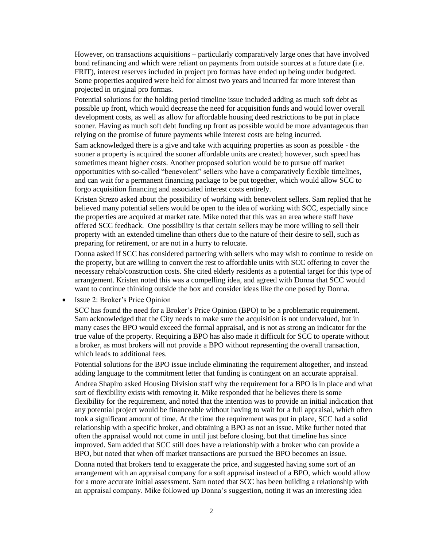However, on transactions acquisitions – particularly comparatively large ones that have involved bond refinancing and which were reliant on payments from outside sources at a future date (i.e. FRIT), interest reserves included in project pro formas have ended up being under budgeted. Some properties acquired were held for almost two years and incurred far more interest than projected in original pro formas.

Potential solutions for the holding period timeline issue included adding as much soft debt as possible up front, which would decrease the need for acquisition funds and would lower overall development costs, as well as allow for affordable housing deed restrictions to be put in place sooner. Having as much soft debt funding up front as possible would be more advantageous than relying on the promise of future payments while interest costs are being incurred.

Sam acknowledged there is a give and take with acquiring properties as soon as possible - the sooner a property is acquired the sooner affordable units are created; however, such speed has sometimes meant higher costs. Another proposed solution would be to pursue off market opportunities with so-called "benevolent" sellers who have a comparatively flexible timelines, and can wait for a permanent financing package to be put together, which would allow SCC to forgo acquisition financing and associated interest costs entirely.

Kristen Strezo asked about the possibility of working with benevolent sellers. Sam replied that he believed many potential sellers would be open to the idea of working with SCC, especially since the properties are acquired at market rate. Mike noted that this was an area where staff have offered SCC feedback. One possibility is that certain sellers may be more willing to sell their property with an extended timeline than others due to the nature of their desire to sell, such as preparing for retirement, or are not in a hurry to relocate.

Donna asked if SCC has considered partnering with sellers who may wish to continue to reside on the property, but are willing to convert the rest to affordable units with SCC offering to cover the necessary rehab/construction costs. She cited elderly residents as a potential target for this type of arrangement. Kristen noted this was a compelling idea, and agreed with Donna that SCC would want to continue thinking outside the box and consider ideas like the one posed by Donna.

# Issue 2: Broker's Price Opinion

SCC has found the need for a Broker's Price Opinion (BPO) to be a problematic requirement. Sam acknowledged that the City needs to make sure the acquisition is not undervalued, but in many cases the BPO would exceed the formal appraisal, and is not as strong an indicator for the true value of the property. Requiring a BPO has also made it difficult for SCC to operate without a broker, as most brokers will not provide a BPO without representing the overall transaction, which leads to additional fees.

Potential solutions for the BPO issue include eliminating the requirement altogether, and instead adding language to the commitment letter that funding is contingent on an accurate appraisal. Andrea Shapiro asked Housing Division staff why the requirement for a BPO is in place and what sort of flexibility exists with removing it. Mike responded that he believes there is some flexibility for the requirement, and noted that the intention was to provide an initial indication that any potential project would be financeable without having to wait for a full appraisal, which often took a significant amount of time. At the time the requirement was put in place, SCC had a solid relationship with a specific broker, and obtaining a BPO as not an issue. Mike further noted that often the appraisal would not come in until just before closing, but that timeline has since improved. Sam added that SCC still does have a relationship with a broker who can provide a BPO, but noted that when off market transactions are pursued the BPO becomes an issue.

Donna noted that brokers tend to exaggerate the price, and suggested having some sort of an arrangement with an appraisal company for a soft appraisal instead of a BPO, which would allow for a more accurate initial assessment. Sam noted that SCC has been building a relationship with an appraisal company. Mike followed up Donna's suggestion, noting it was an interesting idea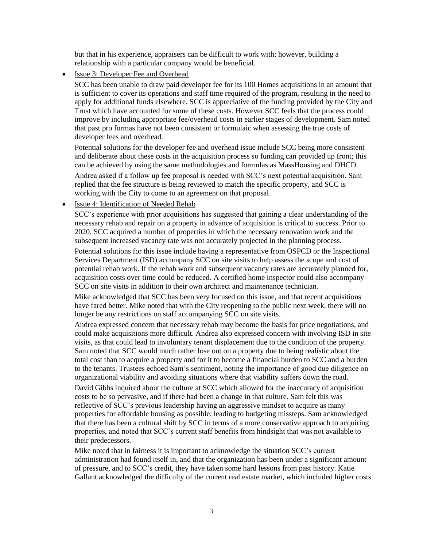but that in his experience, appraisers can be difficult to work with; however, building a relationship with a particular company would be beneficial.

## Issue 3: Developer Fee and Overhead

SCC has been unable to draw paid developer fee for its 100 Homes acquisitions in an amount that is sufficient to cover its operations and staff time required of the program, resulting in the need to apply for additional funds elsewhere. SCC is appreciative of the funding provided by the City and Trust which have accounted for some of these costs. However SCC feels that the process could improve by including appropriate fee/overhead costs in earlier stages of development. Sam noted that past pro formas have not been consistent or formulaic when assessing the true costs of developer fees and overhead.

Potential solutions for the developer fee and overhead issue include SCC being more consistent and deliberate about these costs in the acquisition process so funding can provided up front; this can be achieved by using the same methodologies and formulas as MassHousing and DHCD. Andrea asked if a follow up fee proposal is needed with SCC's next potential acquisition. Sam replied that the fee structure is being reviewed to match the specific property, and SCC is working with the City to come to an agreement on that proposal.

• Issue 4: Identification of Needed Rehab

SCC's experience with prior acquisitions has suggested that gaining a clear understanding of the necessary rehab and repair on a property in advance of acquisition is critical to success. Prior to 2020, SCC acquired a number of properties in which the necessary renovation work and the subsequent increased vacancy rate was not accurately projected in the planning process.

Potential solutions for this issue include having a representative from OSPCD or the Inspectional Services Department (ISD) accompany SCC on site visits to help assess the scope and cost of potential rehab work. If the rehab work and subsequent vacancy rates are accurately planned for, acquisition costs over time could be reduced. A certified home inspector could also accompany SCC on site visits in addition to their own architect and maintenance technician.

Mike acknowledged that SCC has been very focused on this issue, and that recent acquisitions have fared better. Mike noted that with the City reopening to the public next week, there will no longer be any restrictions on staff accompanying SCC on site visits.

Andrea expressed concern that necessary rehab may become the basis for price negotiations, and could make acquisitions more difficult. Andrea also expressed concern with involving ISD in site visits, as that could lead to involuntary tenant displacement due to the condition of the property. Sam noted that SCC would much rather lose out on a property due to being realistic about the total cost than to acquire a property and for it to become a financial burden to SCC and a burden to the tenants. Trustees echoed Sam's sentiment, noting the importance of good due diligence on organizational viability and avoiding situations where that viability suffers down the road.

David Gibbs inquired about the culture at SCC which allowed for the inaccuracy of acquisition costs to be so pervasive, and if there had been a change in that culture. Sam felt this was reflective of SCC's previous leadership having an aggressive mindset to acquire as many properties for affordable housing as possible, leading to budgeting missteps. Sam acknowledged that there has been a cultural shift by SCC in terms of a more conservative approach to acquiring properties, and noted that SCC's current staff benefits from hindsight that was not available to their predecessors.

Mike noted that in fairness it is important to acknowledge the situation SCC's current administration had found itself in, and that the organization has been under a significant amount of pressure, and to SCC's credit, they have taken some hard lessons from past history. Katie Gallant acknowledged the difficulty of the current real estate market, which included higher costs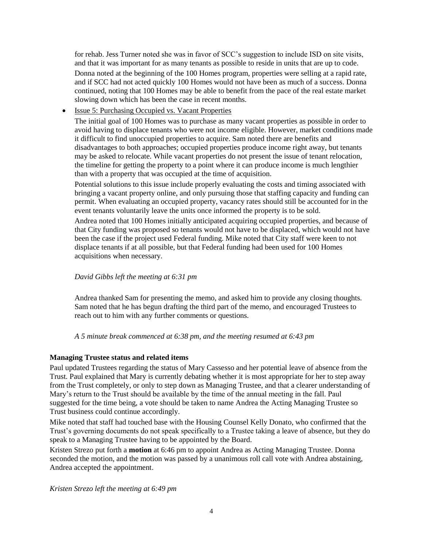for rehab. Jess Turner noted she was in favor of SCC's suggestion to include ISD on site visits, and that it was important for as many tenants as possible to reside in units that are up to code.

Donna noted at the beginning of the 100 Homes program, properties were selling at a rapid rate, and if SCC had not acted quickly 100 Homes would not have been as much of a success. Donna continued, noting that 100 Homes may be able to benefit from the pace of the real estate market slowing down which has been the case in recent months.

• Issue 5: Purchasing Occupied vs. Vacant Properties

The initial goal of 100 Homes was to purchase as many vacant properties as possible in order to avoid having to displace tenants who were not income eligible. However, market conditions made it difficult to find unoccupied properties to acquire. Sam noted there are benefits and disadvantages to both approaches; occupied properties produce income right away, but tenants may be asked to relocate. While vacant properties do not present the issue of tenant relocation, the timeline for getting the property to a point where it can produce income is much lengthier than with a property that was occupied at the time of acquisition.

Potential solutions to this issue include properly evaluating the costs and timing associated with bringing a vacant property online, and only pursuing those that staffing capacity and funding can permit. When evaluating an occupied property, vacancy rates should still be accounted for in the event tenants voluntarily leave the units once informed the property is to be sold.

Andrea noted that 100 Homes initially anticipated acquiring occupied properties, and because of that City funding was proposed so tenants would not have to be displaced, which would not have been the case if the project used Federal funding. Mike noted that City staff were keen to not displace tenants if at all possible, but that Federal funding had been used for 100 Homes acquisitions when necessary.

### *David Gibbs left the meeting at 6:31 pm*

Andrea thanked Sam for presenting the memo, and asked him to provide any closing thoughts. Sam noted that he has begun drafting the third part of the memo, and encouraged Trustees to reach out to him with any further comments or questions.

### *A 5 minute break commenced at 6:38 pm, and the meeting resumed at 6:43 pm*

# **Managing Trustee status and related items**

Paul updated Trustees regarding the status of Mary Cassesso and her potential leave of absence from the Trust. Paul explained that Mary is currently debating whether it is most appropriate for her to step away from the Trust completely, or only to step down as Managing Trustee, and that a clearer understanding of Mary's return to the Trust should be available by the time of the annual meeting in the fall. Paul suggested for the time being, a vote should be taken to name Andrea the Acting Managing Trustee so Trust business could continue accordingly.

Mike noted that staff had touched base with the Housing Counsel Kelly Donato, who confirmed that the Trust's governing documents do not speak specifically to a Trustee taking a leave of absence, but they do speak to a Managing Trustee having to be appointed by the Board.

Kristen Strezo put forth a **motion** at 6:46 pm to appoint Andrea as Acting Managing Trustee. Donna seconded the motion, and the motion was passed by a unanimous roll call vote with Andrea abstaining, Andrea accepted the appointment.

*Kristen Strezo left the meeting at 6:49 pm*